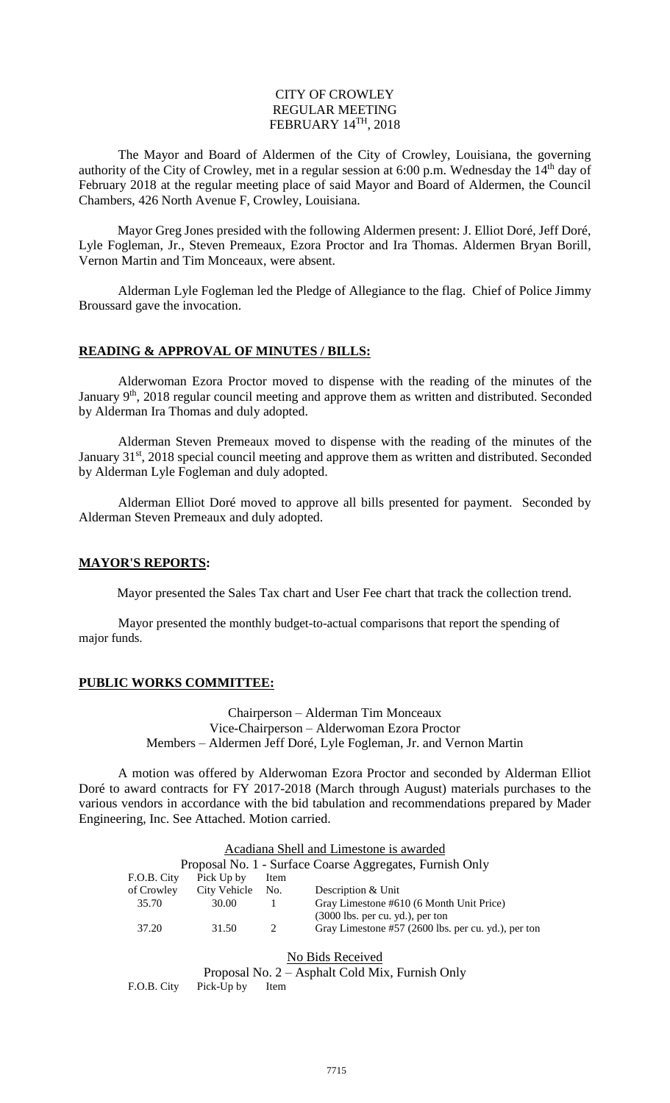#### CITY OF CROWLEY REGULAR MEETING FEBRUARY 14TH, 2018

The Mayor and Board of Aldermen of the City of Crowley, Louisiana, the governing authority of the City of Crowley, met in a regular session at 6:00 p.m. Wednesday the 14<sup>th</sup> day of February 2018 at the regular meeting place of said Mayor and Board of Aldermen, the Council Chambers, 426 North Avenue F, Crowley, Louisiana.

Mayor Greg Jones presided with the following Aldermen present: J. Elliot Doré, Jeff Doré, Lyle Fogleman, Jr., Steven Premeaux, Ezora Proctor and Ira Thomas. Aldermen Bryan Borill, Vernon Martin and Tim Monceaux, were absent.

Alderman Lyle Fogleman led the Pledge of Allegiance to the flag. Chief of Police Jimmy Broussard gave the invocation.

### **READING & APPROVAL OF MINUTES / BILLS:**

Alderwoman Ezora Proctor moved to dispense with the reading of the minutes of the January 9<sup>th</sup>, 2018 regular council meeting and approve them as written and distributed. Seconded by Alderman Ira Thomas and duly adopted.

Alderman Steven Premeaux moved to dispense with the reading of the minutes of the January 31<sup>st</sup>, 2018 special council meeting and approve them as written and distributed. Seconded by Alderman Lyle Fogleman and duly adopted.

Alderman Elliot Doré moved to approve all bills presented for payment. Seconded by Alderman Steven Premeaux and duly adopted.

### **MAYOR'S REPORTS:**

Mayor presented the Sales Tax chart and User Fee chart that track the collection trend.

Mayor presented the monthly budget-to-actual comparisons that report the spending of major funds.

### **PUBLIC WORKS COMMITTEE:**

Chairperson – Alderman Tim Monceaux Vice-Chairperson – Alderwoman Ezora Proctor Members – Aldermen Jeff Doré, Lyle Fogleman, Jr. and Vernon Martin

A motion was offered by Alderwoman Ezora Proctor and seconded by Alderman Elliot Doré to award contracts for FY 2017-2018 (March through August) materials purchases to the various vendors in accordance with the bid tabulation and recommendations prepared by Mader Engineering, Inc. See Attached. Motion carried.

|                                                          | Acadiana Shell and Limestone is awarded |              |                             |                                                     |  |  |
|----------------------------------------------------------|-----------------------------------------|--------------|-----------------------------|-----------------------------------------------------|--|--|
| Proposal No. 1 - Surface Coarse Aggregates, Furnish Only |                                         |              |                             |                                                     |  |  |
|                                                          | F.O.B. City                             | Pick Up by   | Item                        |                                                     |  |  |
|                                                          | of Crowley                              | City Vehicle | No.                         | Description & Unit                                  |  |  |
|                                                          | 35.70                                   | 30.00        |                             | Gray Limestone #610 (6 Month Unit Price)            |  |  |
|                                                          |                                         |              |                             | $(3000$ lbs. per cu. yd.), per ton                  |  |  |
|                                                          | 37.20                                   | 31.50        | $\mathcal{D}_{\mathcal{L}}$ | Gray Limestone #57 (2600 lbs. per cu. yd.), per ton |  |  |
|                                                          |                                         |              |                             |                                                     |  |  |

No Bids Received

Proposal No. 2 – Asphalt Cold Mix, Furnish Only

F.O.B. City Pick-Up by Item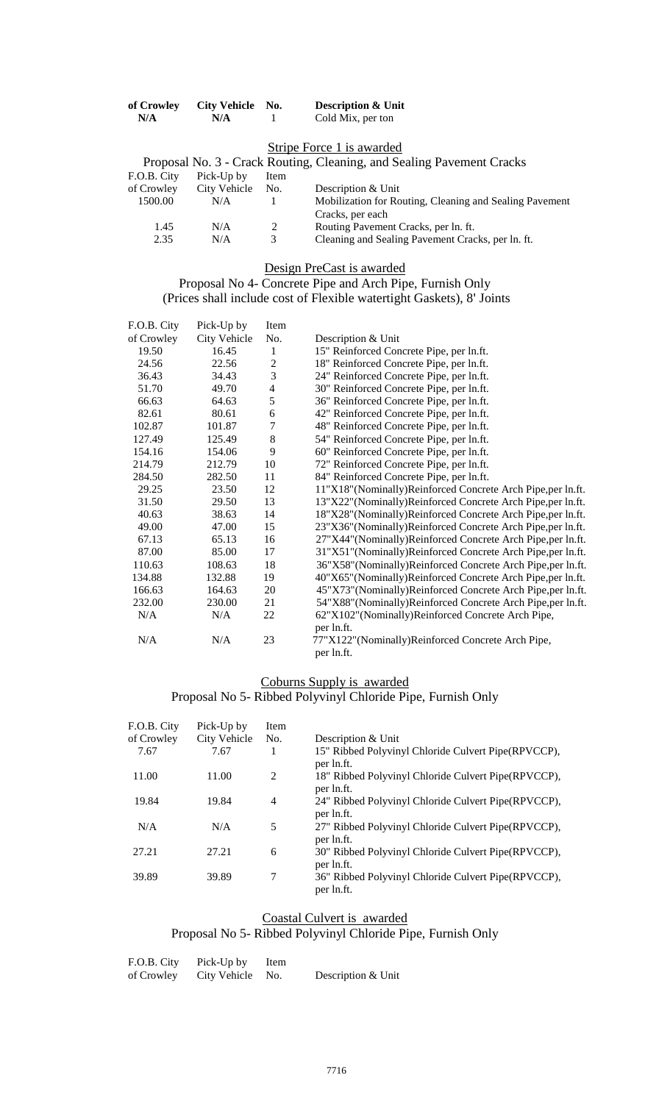| of Crowley | <b>City Vehicle</b><br>No. | <b>Description &amp; Unit</b> |
|------------|----------------------------|-------------------------------|
| N/A        | N/A                        | Cold Mix, per ton             |

### Stripe Force 1 is awarded

| Proposal No. 3 - Crack Routing, Cleaning, and Sealing Pavement Cracks |              |      |                                                         |  |  |
|-----------------------------------------------------------------------|--------------|------|---------------------------------------------------------|--|--|
| F.O.B. City                                                           | Pick-Up by   | Item |                                                         |  |  |
| of Crowley                                                            | City Vehicle | No.  | Description & Unit                                      |  |  |
| 1500.00                                                               | N/A          |      | Mobilization for Routing, Cleaning and Sealing Pavement |  |  |
|                                                                       |              |      | Cracks, per each                                        |  |  |
| 1.45                                                                  | N/A          | 2    | Routing Pavement Cracks, per ln. ft.                    |  |  |
| 2.35                                                                  | N/A          | 3    | Cleaning and Sealing Pavement Cracks, per ln. ft.       |  |  |

Design PreCast is awarded

#### Proposal No 4- Concrete Pipe and Arch Pipe, Furnish Only (Prices shall include cost of Flexible watertight Gaskets), 8' Joints

| F.O.B. City | Pick-Up by   | Item           |                                                            |
|-------------|--------------|----------------|------------------------------------------------------------|
| of Crowley  | City Vehicle | No.            | Description & Unit                                         |
| 19.50       | 16.45        | $\mathbf{1}$   | 15" Reinforced Concrete Pipe, per ln.ft.                   |
| 24.56       | 22.56        | $\overline{2}$ | 18" Reinforced Concrete Pipe, per ln.ft.                   |
| 36.43       | 34.43        | $\overline{3}$ | 24" Reinforced Concrete Pipe, per ln.ft.                   |
| 51.70       | 49.70        | $\overline{4}$ | 30" Reinforced Concrete Pipe, per ln.ft.                   |
| 66.63       | 64.63        | 5              | 36" Reinforced Concrete Pipe, per ln.ft.                   |
| 82.61       | 80.61        | $\epsilon$     | 42" Reinforced Concrete Pipe, per ln.ft.                   |
| 102.87      | 101.87       | $\overline{7}$ | 48" Reinforced Concrete Pipe, per ln.ft.                   |
| 127.49      | 125.49       | $\,8\,$        | 54" Reinforced Concrete Pipe, per ln.ft.                   |
| 154.16      | 154.06       | 9              | 60" Reinforced Concrete Pipe, per ln.ft.                   |
| 214.79      | 212.79       | 10             | 72" Reinforced Concrete Pipe, per ln.ft.                   |
| 284.50      | 282.50       | 11             | 84" Reinforced Concrete Pipe, per ln.ft.                   |
| 29.25       | 23.50        | 12             | 11"X18"(Nominally)Reinforced Concrete Arch Pipe,per ln.ft. |
| 31.50       | 29.50        | 13             | 13"X22"(Nominally)Reinforced Concrete Arch Pipe,per ln.ft. |
| 40.63       | 38.63        | 14             | 18"X28"(Nominally)Reinforced Concrete Arch Pipe,per ln.ft. |
| 49.00       | 47.00        | 15             | 23"X36"(Nominally)Reinforced Concrete Arch Pipe,per ln.ft. |
| 67.13       | 65.13        | 16             | 27"X44"(Nominally)Reinforced Concrete Arch Pipe,per ln.ft. |
| 87.00       | 85.00        | 17             | 31"X51"(Nominally)Reinforced Concrete Arch Pipe,per ln.ft. |
| 110.63      | 108.63       | 18             | 36"X58"(Nominally)Reinforced Concrete Arch Pipe,per ln.ft. |
| 134.88      | 132.88       | 19             | 40"X65"(Nominally)Reinforced Concrete Arch Pipe,per ln.ft. |
| 166.63      | 164.63       | 20             | 45"X73"(Nominally)Reinforced Concrete Arch Pipe,per ln.ft. |
| 232.00      | 230.00       | 21             | 54"X88"(Nominally)Reinforced Concrete Arch Pipe,per ln.ft. |
| N/A         | N/A          | 22             | 62"X102"(Nominally)Reinforced Concrete Arch Pipe,          |
|             |              |                | per ln.ft.                                                 |
| N/A         | N/A          | 23             | 77"X122"(Nominally)Reinforced Concrete Arch Pipe,          |
|             |              |                | per ln.ft.                                                 |

## Coburns Supply is awarded

## Proposal No 5- Ribbed Polyvinyl Chloride Pipe, Furnish Only

| F.O.B. City | Pick-Up by   | Item |                                                                    |
|-------------|--------------|------|--------------------------------------------------------------------|
| of Crowley  | City Vehicle | No.  | Description & Unit                                                 |
| 7.67        | 7.67         |      | 15" Ribbed Polyvinyl Chloride Culvert Pipe(RPVCCP),<br>per ln.ft.  |
| 11.00       | 11.00        | 2    | 18" Ribbed Polyvinyl Chloride Culvert Pipe(RPVCCP),<br>per ln.ft.  |
| 19.84       | 19.84        | 4    | 24" Ribbed Polyvinyl Chloride Culvert Pipe(RPVCCP),<br>per ln.ft.  |
| N/A         | N/A          | 5    | 27" Ribbed Polyvinyl Chloride Culvert Pipe (RPVCCP),<br>per ln.ft. |
| 27.21       | 27.21        | 6    | 30" Ribbed Polyvinyl Chloride Culvert Pipe(RPVCCP),<br>per ln.ft.  |
| 39.89       | 39.89        | 7    | 36" Ribbed Polyvinyl Chloride Culvert Pipe(RPVCCP),<br>per ln.ft.  |

## Coastal Culvert is awarded

# Proposal No 5- Ribbed Polyvinyl Chloride Pipe, Furnish Only

| F.O.B. City | Pick-Up by       | Item |                    |
|-------------|------------------|------|--------------------|
| of Crowley  | City Vehicle No. |      | Description & Unit |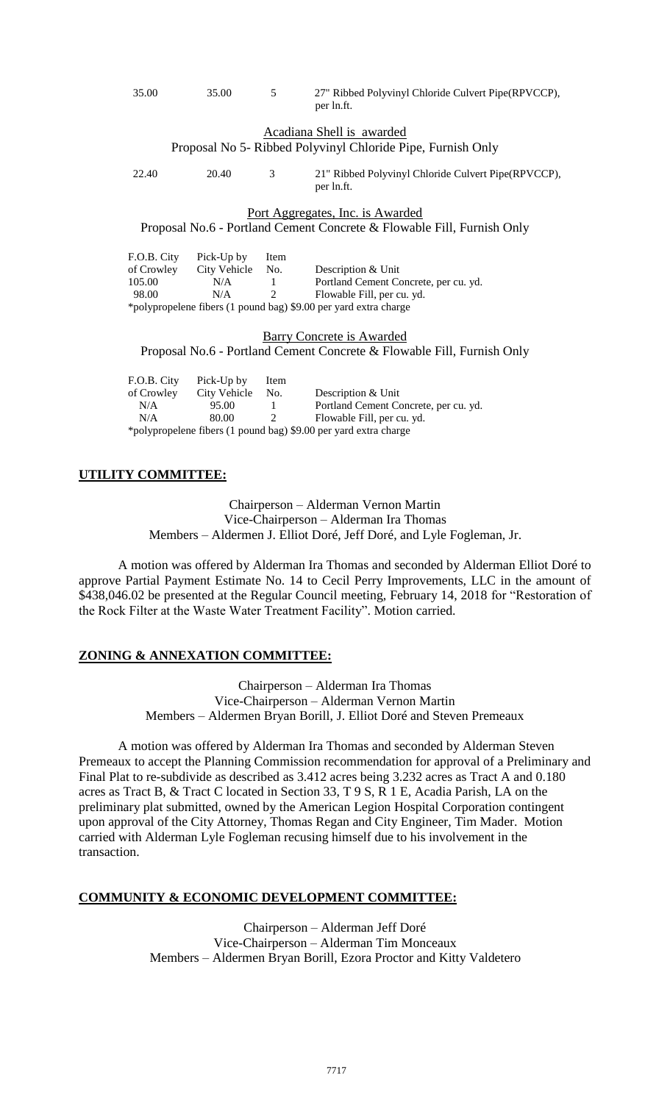|             |                     |                | per ln.ft.                                                             |
|-------------|---------------------|----------------|------------------------------------------------------------------------|
|             |                     |                | Acadiana Shell is awarded                                              |
|             |                     |                | Proposal No 5- Ribbed Polyvinyl Chloride Pipe, Furnish Only            |
| 22.40       | 20.40               | 3              | 21" Ribbed Polyvinyl Chloride Culvert Pipe(RPVCCP),<br>per ln.ft.      |
|             |                     |                | Port Aggregates, Inc. is Awarded                                       |
|             |                     |                | Proposal No.6 - Portland Cement Concrete & Flowable Fill, Furnish Only |
| F.O.B. City | Pick-Up by          | <b>Item</b>    |                                                                        |
| of Crowley  | City Vehicle        | No.            | Description & Unit                                                     |
| 105.00      | N/A                 | $\mathbf{1}$   | Portland Cement Concrete, per cu. yd.                                  |
| 98.00       | N/A                 | $\overline{2}$ | Flowable Fill, per cu. yd.                                             |
|             |                     |                | *polypropelene fibers (1 pound bag) \$9.00 per yard extra charge       |
|             |                     |                | <b>Barry Concrete is Awarded</b>                                       |
|             |                     |                | Proposal No.6 - Portland Cement Concrete & Flowable Fill, Furnish Only |
| F.O.B. City | Pick-Up by          | Item           |                                                                        |
| of Crowley  | <b>City Vehicle</b> | No.            | Description & Unit                                                     |
| N/A         | 95.00               | 1              | Portland Cement Concrete, per cu. yd.                                  |
| N/A         | 80.00               | $\mathfrak{D}$ | Flowable Fill, per cu. yd.                                             |
|             |                     |                | *polypropelene fibers (1 pound bag) \$9.00 per yard extra charge       |
|             |                     |                |                                                                        |

35.00 35.00 5 27" Ribbed Polyvinyl Chloride Culvert Pipe(RPVCCP),

### **UTILITY COMMITTEE:**

Chairperson – Alderman Vernon Martin Vice-Chairperson – Alderman Ira Thomas Members – Aldermen J. Elliot Doré, Jeff Doré, and Lyle Fogleman, Jr.

A motion was offered by Alderman Ira Thomas and seconded by Alderman Elliot Doré to approve Partial Payment Estimate No. 14 to Cecil Perry Improvements, LLC in the amount of \$438,046.02 be presented at the Regular Council meeting, February 14, 2018 for "Restoration of the Rock Filter at the Waste Water Treatment Facility". Motion carried.

### **ZONING & ANNEXATION COMMITTEE:**

Chairperson – Alderman Ira Thomas Vice-Chairperson – Alderman Vernon Martin Members – Aldermen Bryan Borill, J. Elliot Doré and Steven Premeaux

A motion was offered by Alderman Ira Thomas and seconded by Alderman Steven Premeaux to accept the Planning Commission recommendation for approval of a Preliminary and Final Plat to re-subdivide as described as 3.412 acres being 3.232 acres as Tract A and 0.180 acres as Tract B, & Tract C located in Section 33, T 9 S, R 1 E, Acadia Parish, LA on the preliminary plat submitted, owned by the American Legion Hospital Corporation contingent upon approval of the City Attorney, Thomas Regan and City Engineer, Tim Mader. Motion carried with Alderman Lyle Fogleman recusing himself due to his involvement in the transaction.

### **COMMUNITY & ECONOMIC DEVELOPMENT COMMITTEE:**

Chairperson – Alderman Jeff Doré Vice-Chairperson – Alderman Tim Monceaux Members – Aldermen Bryan Borill, Ezora Proctor and Kitty Valdetero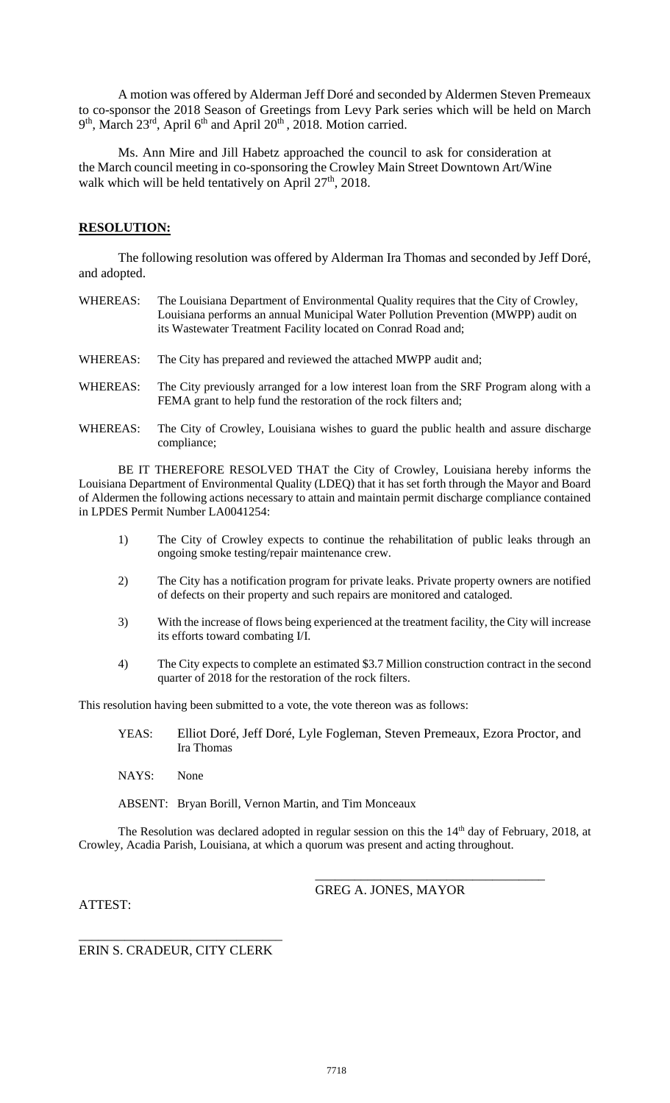A motion was offered by Alderman Jeff Doré and seconded by Aldermen Steven Premeaux to co-sponsor the 2018 Season of Greetings from Levy Park series which will be held on March 9<sup>th</sup>, March 23<sup>rd</sup>, April 6<sup>th</sup> and April 20<sup>th</sup>, 2018. Motion carried.

Ms. Ann Mire and Jill Habetz approached the council to ask for consideration at the March council meeting in co-sponsoring the Crowley Main Street Downtown Art/Wine walk which will be held tentatively on April  $27<sup>th</sup>$ , 2018.

### **RESOLUTION:**

The following resolution was offered by Alderman Ira Thomas and seconded by Jeff Doré, and adopted.

| WHEREAS: | The Louisiana Department of Environmental Quality requires that the City of Crowley,<br>Louisiana performs an annual Municipal Water Pollution Prevention (MWPP) audit on<br>its Wastewater Treatment Facility located on Conrad Road and; |
|----------|--------------------------------------------------------------------------------------------------------------------------------------------------------------------------------------------------------------------------------------------|
| WHEREAS: | The City has prepared and reviewed the attached MWPP audit and;                                                                                                                                                                            |

- WHEREAS: The City previously arranged for a low interest loan from the SRF Program along with a FEMA grant to help fund the restoration of the rock filters and;
- WHEREAS: The City of Crowley, Louisiana wishes to guard the public health and assure discharge compliance;

BE IT THEREFORE RESOLVED THAT the City of Crowley, Louisiana hereby informs the Louisiana Department of Environmental Quality (LDEQ) that it has set forth through the Mayor and Board of Aldermen the following actions necessary to attain and maintain permit discharge compliance contained in LPDES Permit Number LA0041254:

- 1) The City of Crowley expects to continue the rehabilitation of public leaks through an ongoing smoke testing/repair maintenance crew.
- 2) The City has a notification program for private leaks. Private property owners are notified of defects on their property and such repairs are monitored and cataloged.
- 3) With the increase of flows being experienced at the treatment facility, the City will increase its efforts toward combating I/I.
- 4) The City expects to complete an estimated \$3.7 Million construction contract in the second quarter of 2018 for the restoration of the rock filters.

This resolution having been submitted to a vote, the vote thereon was as follows:

- YEAS: Elliot Doré, Jeff Doré, Lyle Fogleman, Steven Premeaux, Ezora Proctor, and Ira Thomas
- NAYS: None

ABSENT: Bryan Borill, Vernon Martin, and Tim Monceaux

The Resolution was declared adopted in regular session on this the 14<sup>th</sup> day of February, 2018, at Crowley, Acadia Parish, Louisiana, at which a quorum was present and acting throughout.

ATTEST:

GREG A. JONES, MAYOR

\_\_\_\_\_\_\_\_\_\_\_\_\_\_\_\_\_\_\_\_\_\_\_\_\_\_\_\_\_\_\_\_\_\_\_

#### \_\_\_\_\_\_\_\_\_\_\_\_\_\_\_\_\_\_\_\_\_\_\_\_\_\_\_\_\_\_\_ ERIN S. CRADEUR, CITY CLERK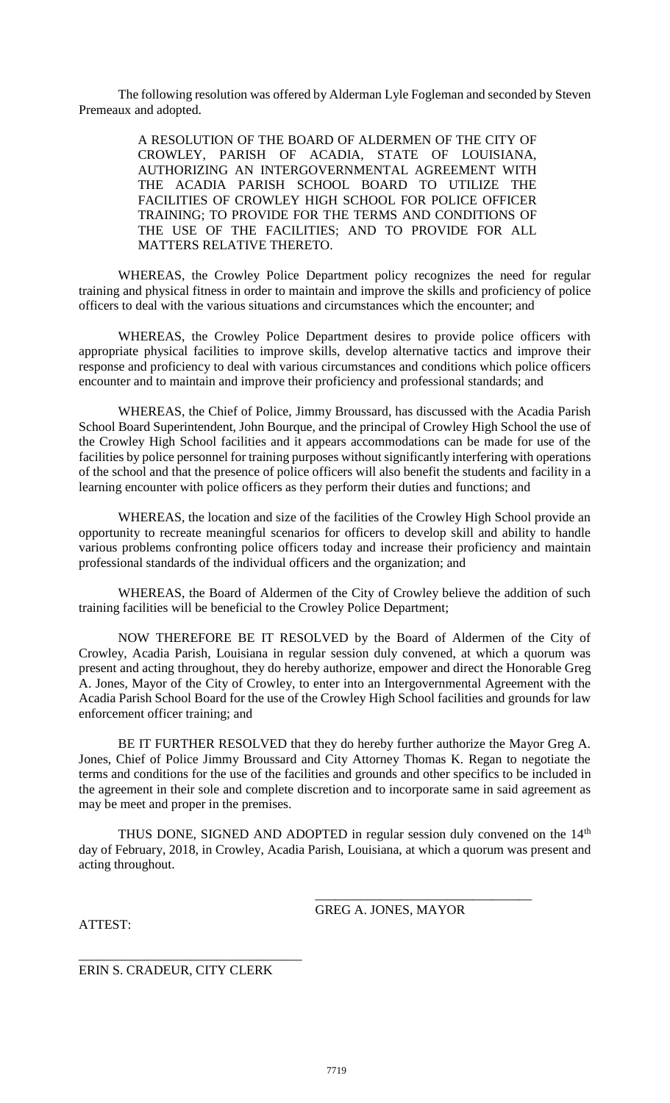The following resolution was offered by Alderman Lyle Fogleman and seconded by Steven Premeaux and adopted.

> A RESOLUTION OF THE BOARD OF ALDERMEN OF THE CITY OF CROWLEY, PARISH OF ACADIA, STATE OF LOUISIANA, AUTHORIZING AN INTERGOVERNMENTAL AGREEMENT WITH THE ACADIA PARISH SCHOOL BOARD TO UTILIZE THE FACILITIES OF CROWLEY HIGH SCHOOL FOR POLICE OFFICER TRAINING; TO PROVIDE FOR THE TERMS AND CONDITIONS OF THE USE OF THE FACILITIES; AND TO PROVIDE FOR ALL MATTERS RELATIVE THERETO.

WHEREAS, the Crowley Police Department policy recognizes the need for regular training and physical fitness in order to maintain and improve the skills and proficiency of police officers to deal with the various situations and circumstances which the encounter; and

WHEREAS, the Crowley Police Department desires to provide police officers with appropriate physical facilities to improve skills, develop alternative tactics and improve their response and proficiency to deal with various circumstances and conditions which police officers encounter and to maintain and improve their proficiency and professional standards; and

WHEREAS, the Chief of Police, Jimmy Broussard, has discussed with the Acadia Parish School Board Superintendent, John Bourque, and the principal of Crowley High School the use of the Crowley High School facilities and it appears accommodations can be made for use of the facilities by police personnel for training purposes without significantly interfering with operations of the school and that the presence of police officers will also benefit the students and facility in a learning encounter with police officers as they perform their duties and functions; and

WHEREAS, the location and size of the facilities of the Crowley High School provide an opportunity to recreate meaningful scenarios for officers to develop skill and ability to handle various problems confronting police officers today and increase their proficiency and maintain professional standards of the individual officers and the organization; and

WHEREAS, the Board of Aldermen of the City of Crowley believe the addition of such training facilities will be beneficial to the Crowley Police Department;

NOW THEREFORE BE IT RESOLVED by the Board of Aldermen of the City of Crowley, Acadia Parish, Louisiana in regular session duly convened, at which a quorum was present and acting throughout, they do hereby authorize, empower and direct the Honorable Greg A. Jones, Mayor of the City of Crowley, to enter into an Intergovernmental Agreement with the Acadia Parish School Board for the use of the Crowley High School facilities and grounds for law enforcement officer training; and

BE IT FURTHER RESOLVED that they do hereby further authorize the Mayor Greg A. Jones, Chief of Police Jimmy Broussard and City Attorney Thomas K. Regan to negotiate the terms and conditions for the use of the facilities and grounds and other specifics to be included in the agreement in their sole and complete discretion and to incorporate same in said agreement as may be meet and proper in the premises.

THUS DONE, SIGNED AND ADOPTED in regular session duly convened on the  $14<sup>th</sup>$ day of February, 2018, in Crowley, Acadia Parish, Louisiana, at which a quorum was present and acting throughout.

GREG A. JONES, MAYOR

\_\_\_\_\_\_\_\_\_\_\_\_\_\_\_\_\_\_\_\_\_\_\_\_\_\_\_\_\_\_\_\_\_

ATTEST:

ERIN S. CRADEUR, CITY CLERK

\_\_\_\_\_\_\_\_\_\_\_\_\_\_\_\_\_\_\_\_\_\_\_\_\_\_\_\_\_\_\_\_\_\_